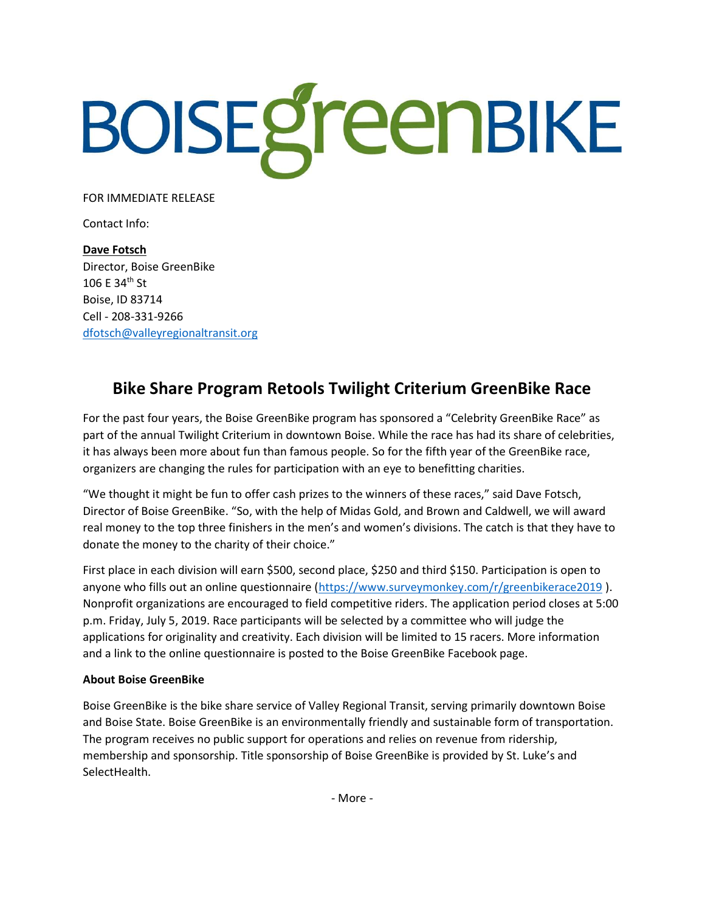# BOISEgreenBIKE

FOR IMMEDIATE RELEASE

Contact Info:

Dave Fotsch Director, Boise GreenBike 106 E 34th St Boise, ID 83714 Cell - 208-331-9266 dfotsch@valleyregionaltransit.org

# Bike Share Program Retools Twilight Criterium GreenBike Race

For the past four years, the Boise GreenBike program has sponsored a "Celebrity GreenBike Race" as part of the annual Twilight Criterium in downtown Boise. While the race has had its share of celebrities, it has always been more about fun than famous people. So for the fifth year of the GreenBike race, organizers are changing the rules for participation with an eye to benefitting charities.

"We thought it might be fun to offer cash prizes to the winners of these races," said Dave Fotsch, Director of Boise GreenBike. "So, with the help of Midas Gold, and Brown and Caldwell, we will award real money to the top three finishers in the men's and women's divisions. The catch is that they have to donate the money to the charity of their choice."

First place in each division will earn \$500, second place, \$250 and third \$150. Participation is open to anyone who fills out an online questionnaire (https://www.surveymonkey.com/r/greenbikerace2019 ). Nonprofit organizations are encouraged to field competitive riders. The application period closes at 5:00 p.m. Friday, July 5, 2019. Race participants will be selected by a committee who will judge the applications for originality and creativity. Each division will be limited to 15 racers. More information and a link to the online questionnaire is posted to the Boise GreenBike Facebook page.

# About Boise GreenBike

Boise GreenBike is the bike share service of Valley Regional Transit, serving primarily downtown Boise and Boise State. Boise GreenBike is an environmentally friendly and sustainable form of transportation. The program receives no public support for operations and relies on revenue from ridership, membership and sponsorship. Title sponsorship of Boise GreenBike is provided by St. Luke's and SelectHealth.

- More -